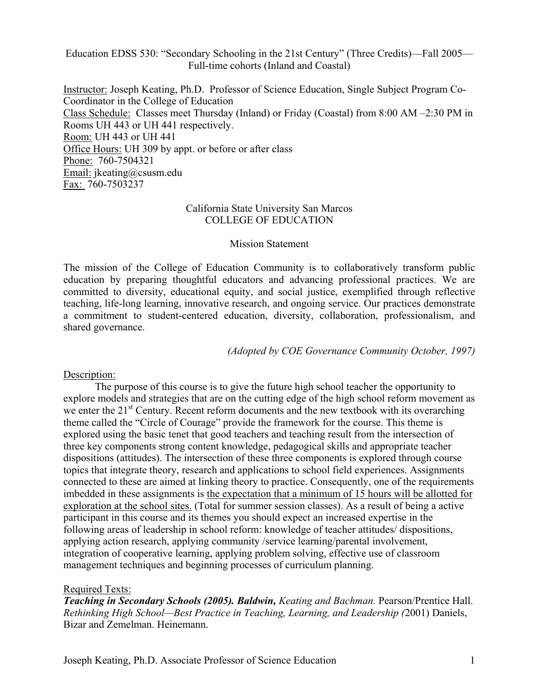Education EDSS 530: "Secondary Schooling in the 21st Century" (Three Credits)—Fall 2005— Full-time cohorts (Inland and Coastal)

Instructor: Joseph Keating, Ph.D. Professor of Science Education, Single Subject Program Co-Coordinator in the College of Education Class Schedule: Classes meet Thursday (Inland) or Friday (Coastal) from 8:00 AM –2:30 PM in Rooms UH 443 or UH 441 respectively. Room: UH 443 or UH 441 Office Hours: UH 309 by appt. or before or after class Phone: 760-7504321 Email: jkeating@csusm.edu Fax: 760-7503237

## California State University San Marcos COLLEGE OF EDUCATION

#### Mission Statement

The mission of the College of Education Community is to collaboratively transform public education by preparing thoughtful educators and advancing professional practices. We are committed to diversity, educational equity, and social justice, exemplified through reflective teaching, life-long learning, innovative research, and ongoing service. Our practices demonstrate a commitment to student-centered education, diversity, collaboration, professionalism, and shared governance.

*(Adopted by COE Governance Community October, 1997)*

#### Description:

The purpose of this course is to give the future high school teacher the opportunity to explore models and strategies that are on the cutting edge of the high school reform movement as we enter the 21<sup>st</sup> Century. Recent reform documents and the new textbook with its overarching theme called the "Circle of Courage" provide the framework for the course. This theme is explored using the basic tenet that good teachers and teaching result from the intersection of three key components strong content knowledge, pedagogical skills and appropriate teacher dispositions (attitudes). The intersection of these three components is explored through course topics that integrate theory, research and applications to school field experiences. Assignments connected to these are aimed at linking theory to practice. Consequently, one of the requirements imbedded in these assignments is the expectation that a minimum of 15 hours will be allotted for exploration at the school sites. (Total for summer session classes). As a result of being a active participant in this course and its themes you should expect an increased expertise in the following areas of leadership in school reform: knowledge of teacher attitudes/ dispositions, applying action research, applying community /service learning/parental involvement, integration of cooperative learning, applying problem solving, effective use of classroom management techniques and beginning processes of curriculum planning.

### Required Texts:

*Teaching in Secondary Schools (2005). Baldwin, Keating and Bachman.* Pearson/Prentice Hall. *Rethinking High School—Best Practice in Teaching, Learning, and Leadership (*2001) Daniels, Bizar and Zemelman. Heinemann.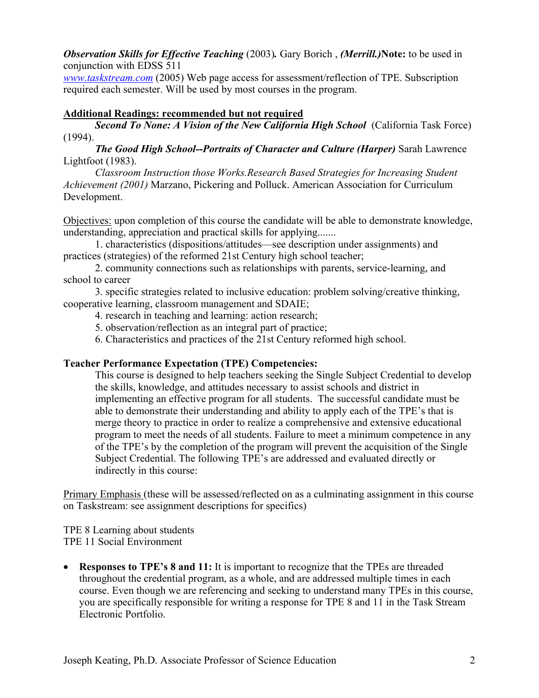*Observation Skills for Effective Teaching* (2003)*.* Gary Borich , *(Merrill.)***Note:** to be used in conjunction with EDSS 511

*www.taskstream.com* (2005) Web page access for assessment/reflection of TPE. Subscription required each semester. Will be used by most courses in the program.

## **Additional Readings: recommended but not required**

*Second To None: A Vision of the New California High School* (California Task Force) (1994).

*The Good High School--Portraits of Character and Culture (Harper)* Sarah Lawrence Lightfoot (1983).

*Classroom Instruction those Works.Research Based Strategies for Increasing Student Achievement (2001)* Marzano, Pickering and Polluck. American Association for Curriculum Development.

Objectives: upon completion of this course the candidate will be able to demonstrate knowledge, understanding, appreciation and practical skills for applying.......

 1. characteristics (dispositions/attitudes—see description under assignments) and practices (strategies) of the reformed 21st Century high school teacher;

 2. community connections such as relationships with parents, service-learning, and school to career

 3. specific strategies related to inclusive education: problem solving/creative thinking, cooperative learning, classroom management and SDAIE;

- 4. research in teaching and learning: action research;
- 5. observation/reflection as an integral part of practice;

6. Characteristics and practices of the 21st Century reformed high school.

## **Teacher Performance Expectation (TPE) Competencies:**

This course is designed to help teachers seeking the Single Subject Credential to develop the skills, knowledge, and attitudes necessary to assist schools and district in implementing an effective program for all students. The successful candidate must be able to demonstrate their understanding and ability to apply each of the TPE's that is merge theory to practice in order to realize a comprehensive and extensive educational program to meet the needs of all students. Failure to meet a minimum competence in any of the TPE's by the completion of the program will prevent the acquisition of the Single Subject Credential. The following TPE's are addressed and evaluated directly or indirectly in this course:

Primary Emphasis (these will be assessed/reflected on as a culminating assignment in this course on Taskstream: see assignment descriptions for specifics)

TPE 8 Learning about students TPE 11 Social Environment

• **Responses to TPE's 8 and 11:** It is important to recognize that the TPEs are threaded throughout the credential program, as a whole, and are addressed multiple times in each course. Even though we are referencing and seeking to understand many TPEs in this course, you are specifically responsible for writing a response for TPE 8 and 11 in the Task Stream Electronic Portfolio.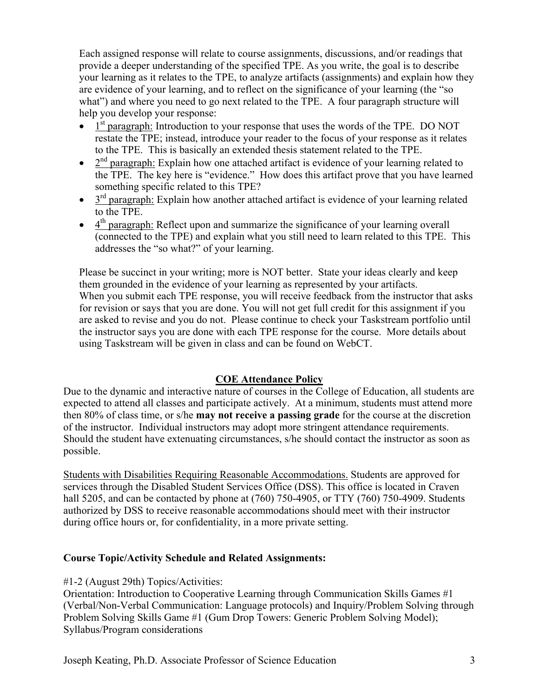Each assigned response will relate to course assignments, discussions, and/or readings that provide a deeper understanding of the specified TPE. As you write, the goal is to describe your learning as it relates to the TPE, to analyze artifacts (assignments) and explain how they are evidence of your learning, and to reflect on the significance of your learning (the "so what") and where you need to go next related to the TPE. A four paragraph structure will help you develop your response:

- $\bullet$  1<sup>st</sup> paragraph: Introduction to your response that uses the words of the TPE. DO NOT restate the TPE; instead, introduce your reader to the focus of your response as it relates to the TPE. This is basically an extended thesis statement related to the TPE.
- $2<sup>nd</sup>$  paragraph: Explain how one attached artifact is evidence of your learning related to the TPE. The key here is "evidence." How does this artifact prove that you have learned something specific related to this TPE?
- $\bullet$  3<sup>rd</sup> paragraph: Explain how another attached artifact is evidence of your learning related to the TPE.
- $\bullet$  4<sup>th</sup> paragraph: Reflect upon and summarize the significance of your learning overall (connected to the TPE) and explain what you still need to learn related to this TPE. This addresses the "so what?" of your learning.

Please be succinct in your writing; more is NOT better. State your ideas clearly and keep them grounded in the evidence of your learning as represented by your artifacts. When you submit each TPE response, you will receive feedback from the instructor that asks for revision or says that you are done. You will not get full credit for this assignment if you are asked to revise and you do not. Please continue to check your Taskstream portfolio until the instructor says you are done with each TPE response for the course. More details about using Taskstream will be given in class and can be found on WebCT.

# **COE Attendance Policy**

Due to the dynamic and interactive nature of courses in the College of Education, all students are expected to attend all classes and participate actively. At a minimum, students must attend more then 80% of class time, or s/he **may not receive a passing grade** for the course at the discretion of the instructor. Individual instructors may adopt more stringent attendance requirements. Should the student have extenuating circumstances, s/he should contact the instructor as soon as possible.

Students with Disabilities Requiring Reasonable Accommodations. Students are approved for services through the Disabled Student Services Office (DSS). This office is located in Craven hall 5205, and can be contacted by phone at (760) 750-4905, or TTY (760) 750-4909. Students authorized by DSS to receive reasonable accommodations should meet with their instructor during office hours or, for confidentiality, in a more private setting.

## **Course Topic/Activity Schedule and Related Assignments:**

#1-2 (August 29th) Topics/Activities:

Orientation: Introduction to Cooperative Learning through Communication Skills Games #1 (Verbal/Non-Verbal Communication: Language protocols) and Inquiry/Problem Solving through Problem Solving Skills Game #1 (Gum Drop Towers: Generic Problem Solving Model); Syllabus/Program considerations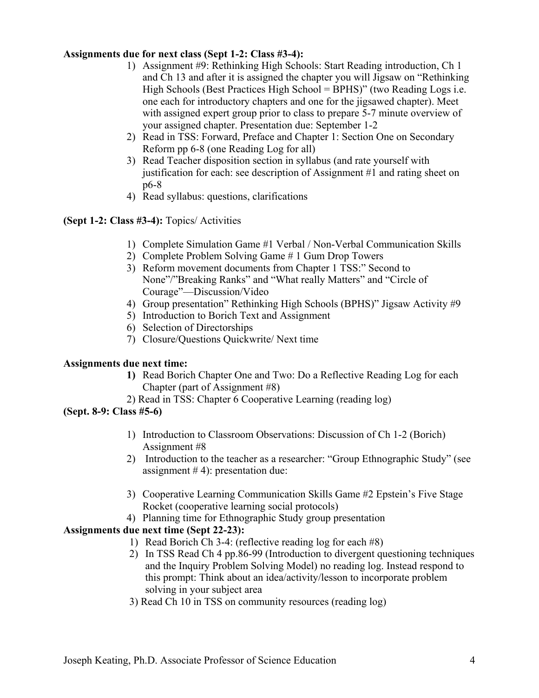# **Assignments due for next class (Sept 1-2: Class #3-4):**

- 1) Assignment #9: Rethinking High Schools: Start Reading introduction, Ch 1 and Ch 13 and after it is assigned the chapter you will Jigsaw on "Rethinking High Schools (Best Practices High School = BPHS)" (two Reading Logs i.e. one each for introductory chapters and one for the jigsawed chapter). Meet with assigned expert group prior to class to prepare 5-7 minute overview of your assigned chapter. Presentation due: September 1-2
- 2) Read in TSS: Forward, Preface and Chapter 1: Section One on Secondary Reform pp 6-8 (one Reading Log for all)
- 3) Read Teacher disposition section in syllabus (and rate yourself with justification for each: see description of Assignment #1 and rating sheet on p6-8
- 4) Read syllabus: questions, clarifications

# **(Sept 1-2: Class #3-4):** Topics/ Activities

- 1) Complete Simulation Game #1 Verbal / Non-Verbal Communication Skills
- 2) Complete Problem Solving Game # 1 Gum Drop Towers
- 3) Reform movement documents from Chapter 1 TSS:" Second to None"/"Breaking Ranks" and "What really Matters" and "Circle of Courage"—Discussion/Video
- 4) Group presentation" Rethinking High Schools (BPHS)" Jigsaw Activity #9
- 5) Introduction to Borich Text and Assignment
- 6) Selection of Directorships
- 7) Closure/Questions Quickwrite/ Next time

# **Assignments due next time:**

- **1)** Read Borich Chapter One and Two: Do a Reflective Reading Log for each Chapter (part of Assignment #8)
- 2) Read in TSS: Chapter 6 Cooperative Learning (reading log)

# **(Sept. 8-9: Class #5-6)**

- 1) Introduction to Classroom Observations: Discussion of Ch 1-2 (Borich) Assignment #8
- 2) Introduction to the teacher as a researcher: "Group Ethnographic Study" (see assignment  $# 4$ ): presentation due:
- 3) Cooperative Learning Communication Skills Game #2 Epstein's Five Stage Rocket (cooperative learning social protocols)
- 4) Planning time for Ethnographic Study group presentation

# **Assignments due next time (Sept 22-23):**

- 1) Read Borich Ch 3-4: (reflective reading log for each #8)
- 2) In TSS Read Ch 4 pp.86-99 (Introduction to divergent questioning techniques and the Inquiry Problem Solving Model) no reading log. Instead respond to this prompt: Think about an idea/activity/lesson to incorporate problem solving in your subject area
- 3) Read Ch 10 in TSS on community resources (reading log)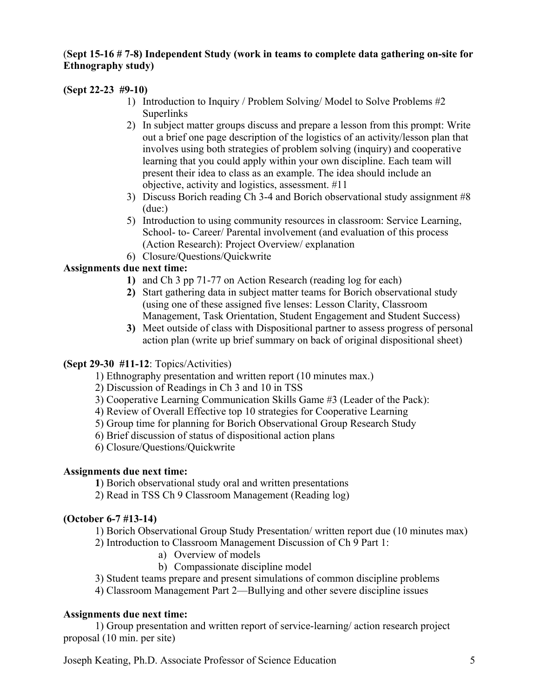# (**Sept 15-16 # 7-8) Independent Study (work in teams to complete data gathering on-site for Ethnography study)**

# **(Sept 22-23 #9-10)**

- 1) Introduction to Inquiry / Problem Solving/ Model to Solve Problems #2 **Superlinks**
- 2) In subject matter groups discuss and prepare a lesson from this prompt: Write out a brief one page description of the logistics of an activity/lesson plan that involves using both strategies of problem solving (inquiry) and cooperative learning that you could apply within your own discipline. Each team will present their idea to class as an example. The idea should include an objective, activity and logistics, assessment. #11
- 3) Discuss Borich reading Ch 3-4 and Borich observational study assignment #8 (due:)
- 5) Introduction to using community resources in classroom: Service Learning, School- to- Career/ Parental involvement (and evaluation of this process (Action Research): Project Overview/ explanation
- 6) Closure/Questions/Quickwrite

# **Assignments due next time:**

- **1)** and Ch 3 pp 71-77 on Action Research (reading log for each)
- **2)** Start gathering data in subject matter teams for Borich observational study (using one of these assigned five lenses: Lesson Clarity, Classroom Management, Task Orientation, Student Engagement and Student Success)
- **3)** Meet outside of class with Dispositional partner to assess progress of personal action plan (write up brief summary on back of original dispositional sheet)

# **(Sept 29-30 #11-12**: Topics/Activities)

1) Ethnography presentation and written report (10 minutes max.)

2) Discussion of Readings in Ch 3 and 10 in TSS

- 3) Cooperative Learning Communication Skills Game #3 (Leader of the Pack):
- 4) Review of Overall Effective top 10 strategies for Cooperative Learning
- 5) Group time for planning for Borich Observational Group Research Study
- 6) Brief discussion of status of dispositional action plans
- 6) Closure/Questions/Quickwrite

# **Assignments due next time:**

 **1**) Borich observational study oral and written presentations

2) Read in TSS Ch 9 Classroom Management (Reading log)

# **(October 6-7 #13-14)**

1) Borich Observational Group Study Presentation/ written report due (10 minutes max)

- 2) Introduction to Classroom Management Discussion of Ch 9 Part 1:
	- a) Overview of models
	- b) Compassionate discipline model

3) Student teams prepare and present simulations of common discipline problems

4) Classroom Management Part 2—Bullying and other severe discipline issues

# **Assignments due next time:**

1) Group presentation and written report of service-learning/ action research project proposal (10 min. per site)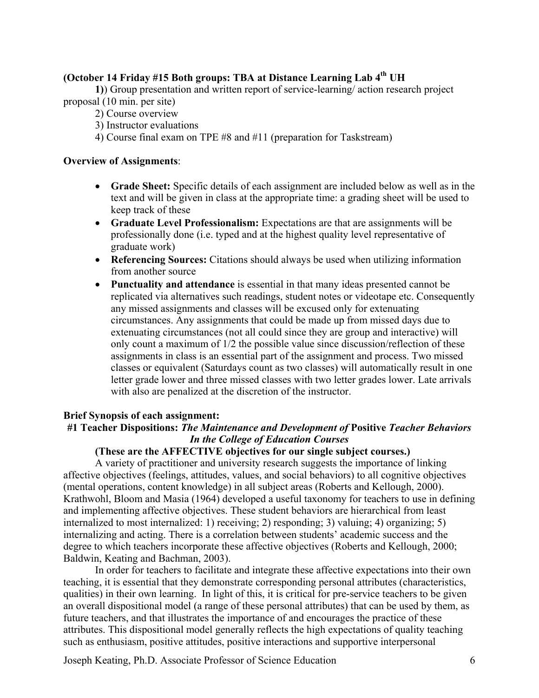# (October 14 Friday #15 Both groups: TBA at Distance Learning Lab 4<sup>th</sup> UH

**1)**) Group presentation and written report of service-learning/ action research project proposal (10 min. per site)

- 2) Course overview
- 3) Instructor evaluations
- 4) Course final exam on TPE #8 and #11 (preparation for Taskstream)

### **Overview of Assignments**:

- **Grade Sheet:** Specific details of each assignment are included below as well as in the text and will be given in class at the appropriate time: a grading sheet will be used to keep track of these
- **Graduate Level Professionalism:** Expectations are that are assignments will be professionally done (i.e. typed and at the highest quality level representative of graduate work)
- **Referencing Sources:** Citations should always be used when utilizing information from another source
- **Punctuality and attendance** is essential in that many ideas presented cannot be replicated via alternatives such readings, student notes or videotape etc. Consequently any missed assignments and classes will be excused only for extenuating circumstances. Any assignments that could be made up from missed days due to extenuating circumstances (not all could since they are group and interactive) will only count a maximum of 1/2 the possible value since discussion/reflection of these assignments in class is an essential part of the assignment and process. Two missed classes or equivalent (Saturdays count as two classes) will automatically result in one letter grade lower and three missed classes with two letter grades lower. Late arrivals with also are penalized at the discretion of the instructor.

#### **Brief Synopsis of each assignment:**

## **#1 Teacher Dispositions:** *The Maintenance and Development of* **Positive** *Teacher Behaviors In the College of Education Courses*

## **(These are the AFFECTIVE objectives for our single subject courses.)**

A variety of practitioner and university research suggests the importance of linking affective objectives (feelings, attitudes, values, and social behaviors) to all cognitive objectives (mental operations, content knowledge) in all subject areas (Roberts and Kellough, 2000). Krathwohl, Bloom and Masia (1964) developed a useful taxonomy for teachers to use in defining and implementing affective objectives. These student behaviors are hierarchical from least internalized to most internalized: 1) receiving; 2) responding; 3) valuing; 4) organizing; 5) internalizing and acting. There is a correlation between students' academic success and the degree to which teachers incorporate these affective objectives (Roberts and Kellough, 2000; Baldwin, Keating and Bachman, 2003).

In order for teachers to facilitate and integrate these affective expectations into their own teaching, it is essential that they demonstrate corresponding personal attributes (characteristics, qualities) in their own learning. In light of this, it is critical for pre-service teachers to be given an overall dispositional model (a range of these personal attributes) that can be used by them, as future teachers, and that illustrates the importance of and encourages the practice of these attributes. This dispositional model generally reflects the high expectations of quality teaching such as enthusiasm, positive attitudes, positive interactions and supportive interpersonal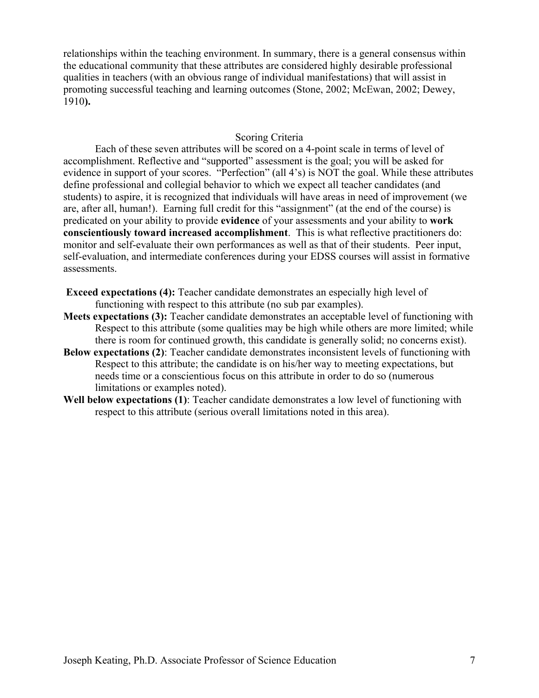relationships within the teaching environment. In summary, there is a general consensus within the educational community that these attributes are considered highly desirable professional qualities in teachers (with an obvious range of individual manifestations) that will assist in promoting successful teaching and learning outcomes (Stone, 2002; McEwan, 2002; Dewey, 1910**).** 

### Scoring Criteria

Each of these seven attributes will be scored on a 4-point scale in terms of level of accomplishment. Reflective and "supported" assessment is the goal; you will be asked for evidence in support of your scores. "Perfection" (all 4's) is NOT the goal. While these attributes define professional and collegial behavior to which we expect all teacher candidates (and students) to aspire, it is recognized that individuals will have areas in need of improvement (we are, after all, human!). Earning full credit for this "assignment" (at the end of the course) is predicated on your ability to provide **evidence** of your assessments and your ability to **work conscientiously toward increased accomplishment**. This is what reflective practitioners do: monitor and self-evaluate their own performances as well as that of their students. Peer input, self-evaluation, and intermediate conferences during your EDSS courses will assist in formative assessments.

- **Exceed expectations (4):** Teacher candidate demonstrates an especially high level of functioning with respect to this attribute (no sub par examples).
- **Meets expectations (3):** Teacher candidate demonstrates an acceptable level of functioning with Respect to this attribute (some qualities may be high while others are more limited; while there is room for continued growth, this candidate is generally solid; no concerns exist).
- **Below expectations (2)**: Teacher candidate demonstrates inconsistent levels of functioning with Respect to this attribute; the candidate is on his/her way to meeting expectations, but needs time or a conscientious focus on this attribute in order to do so (numerous limitations or examples noted).
- **Well below expectations (1)**: Teacher candidate demonstrates a low level of functioning with respect to this attribute (serious overall limitations noted in this area).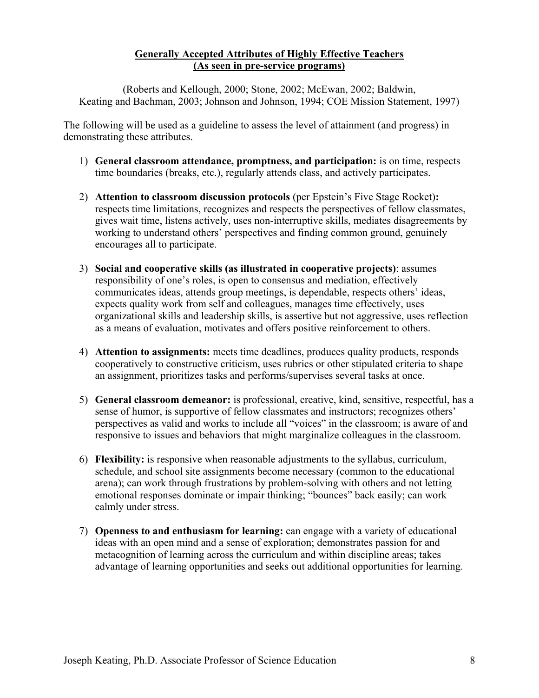## **Generally Accepted Attributes of Highly Effective Teachers (As seen in pre-service programs)**

(Roberts and Kellough, 2000; Stone, 2002; McEwan, 2002; Baldwin, Keating and Bachman, 2003; Johnson and Johnson, 1994; COE Mission Statement, 1997)

The following will be used as a guideline to assess the level of attainment (and progress) in demonstrating these attributes.

- 1) **General classroom attendance, promptness, and participation:** is on time, respects time boundaries (breaks, etc.), regularly attends class, and actively participates.
- 2) **Attention to classroom discussion protocols** (per Epstein's Five Stage Rocket)**:** respects time limitations, recognizes and respects the perspectives of fellow classmates, gives wait time, listens actively, uses non-interruptive skills, mediates disagreements by working to understand others' perspectives and finding common ground, genuinely encourages all to participate.
- 3) **Social and cooperative skills (as illustrated in cooperative projects)**: assumes responsibility of one's roles, is open to consensus and mediation, effectively communicates ideas, attends group meetings, is dependable, respects others' ideas, expects quality work from self and colleagues, manages time effectively, uses organizational skills and leadership skills, is assertive but not aggressive, uses reflection as a means of evaluation, motivates and offers positive reinforcement to others.
- 4) **Attention to assignments:** meets time deadlines, produces quality products, responds cooperatively to constructive criticism, uses rubrics or other stipulated criteria to shape an assignment, prioritizes tasks and performs/supervises several tasks at once.
- 5) **General classroom demeanor:** is professional, creative, kind, sensitive, respectful, has a sense of humor, is supportive of fellow classmates and instructors; recognizes others' perspectives as valid and works to include all "voices" in the classroom; is aware of and responsive to issues and behaviors that might marginalize colleagues in the classroom.
- 6) **Flexibility:** is responsive when reasonable adjustments to the syllabus, curriculum, schedule, and school site assignments become necessary (common to the educational arena); can work through frustrations by problem-solving with others and not letting emotional responses dominate or impair thinking; "bounces" back easily; can work calmly under stress.
- 7) **Openness to and enthusiasm for learning:** can engage with a variety of educational ideas with an open mind and a sense of exploration; demonstrates passion for and metacognition of learning across the curriculum and within discipline areas; takes advantage of learning opportunities and seeks out additional opportunities for learning.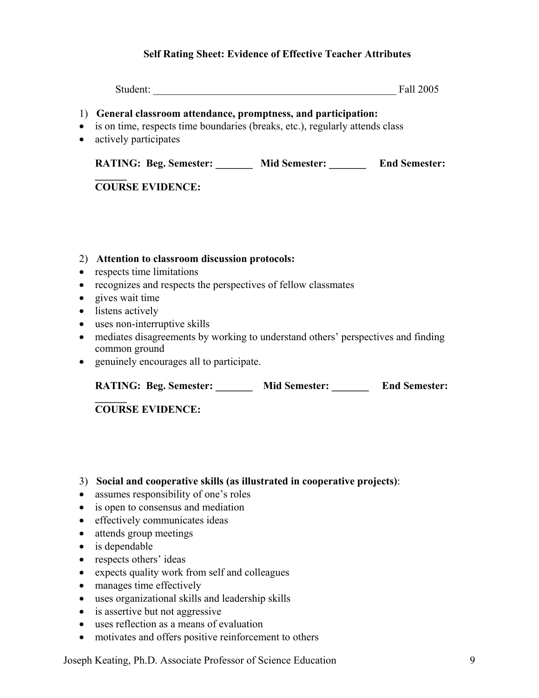# **Self Rating Sheet: Evidence of Effective Teacher Attributes**

|                        | Student:                                                                                                                                                                 |  | Fall 2005 |  |  |
|------------------------|--------------------------------------------------------------------------------------------------------------------------------------------------------------------------|--|-----------|--|--|
| $\bullet$<br>$\bullet$ | 1) General classroom attendance, promptness, and participation:<br>is on time, respects time boundaries (breaks, etc.), regularly attends class<br>actively participates |  |           |  |  |
|                        | RATING: Beg. Semester: Mid Semester: End Semester:                                                                                                                       |  |           |  |  |
|                        | <b>COURSE EVIDENCE:</b>                                                                                                                                                  |  |           |  |  |
|                        |                                                                                                                                                                          |  |           |  |  |
|                        |                                                                                                                                                                          |  |           |  |  |
| 2)                     | Attention to classroom discussion protocols:                                                                                                                             |  |           |  |  |
| $\bullet$              | respects time limitations                                                                                                                                                |  |           |  |  |
| $\bullet$              | recognizes and respects the perspectives of fellow classmates                                                                                                            |  |           |  |  |
| $\bullet$              | gives wait time                                                                                                                                                          |  |           |  |  |
| $\bullet$              | listens actively                                                                                                                                                         |  |           |  |  |
| $\bullet$              | uses non-interruptive skills                                                                                                                                             |  |           |  |  |
|                        | • mediates disagreements by working to understand others' perspectives and finding                                                                                       |  |           |  |  |

- common ground
- genuinely encourages all to participate.

**RATING: Beg. Semester: \_\_\_\_\_\_\_ Mid Semester: \_\_\_\_\_\_\_ End Semester:** 

**COURSE EVIDENCE:** 

## 3) **Social and cooperative skills (as illustrated in cooperative projects)**:

- assumes responsibility of one's roles
- is open to consensus and mediation
- effectively communicates ideas
- attends group meetings
- is dependable

**\_\_\_\_\_\_** 

- respects others' ideas
- expects quality work from self and colleagues
- manages time effectively
- uses organizational skills and leadership skills
- is assertive but not aggressive
- uses reflection as a means of evaluation
- motivates and offers positive reinforcement to others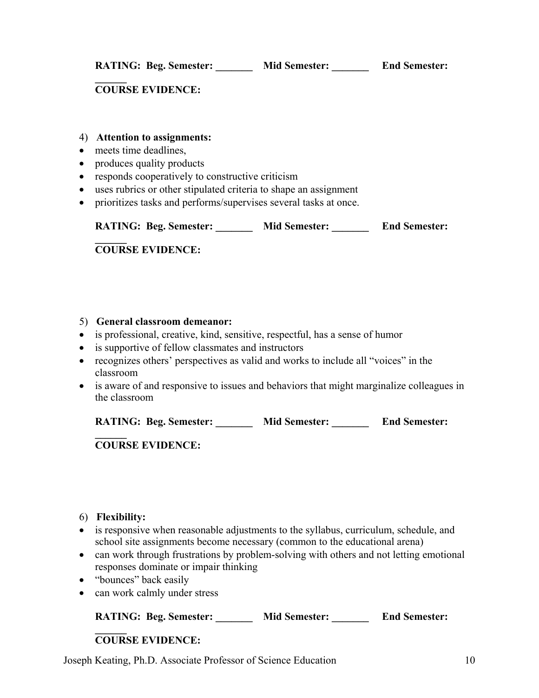**RATING: Beg. Semester: \_\_\_\_\_\_\_ Mid Semester: \_\_\_\_\_\_\_ End Semester:** 

**\_\_\_\_\_\_ COURSE EVIDENCE:** 

## 4) **Attention to assignments:**

- meets time deadlines,
- produces quality products
- responds cooperatively to constructive criticism
- uses rubrics or other stipulated criteria to shape an assignment
- prioritizes tasks and performs/supervises several tasks at once.

RATING: Beg. Semester: Mid Semester: End Semester:

**\_\_\_\_\_\_ COURSE EVIDENCE:** 

## 5) **General classroom demeanor:**

- is professional, creative, kind, sensitive, respectful, has a sense of humor
- is supportive of fellow classmates and instructors
- recognizes others' perspectives as valid and works to include all "voices" in the classroom
- is aware of and responsive to issues and behaviors that might marginalize colleagues in the classroom

**RATING: Beg. Semester: \_\_\_\_\_\_\_ Mid Semester: \_\_\_\_\_\_\_ End Semester:** 

**\_\_\_\_\_\_ COURSE EVIDENCE:** 

# 6) **Flexibility:**

- is responsive when reasonable adjustments to the syllabus, curriculum, schedule, and school site assignments become necessary (common to the educational arena)
- can work through frustrations by problem-solving with others and not letting emotional responses dominate or impair thinking
- "bounces" back easily
- can work calmly under stress

**RATING: Beg. Semester: \_\_\_\_\_\_\_ Mid Semester: \_\_\_\_\_\_\_ End Semester:** 

### **\_\_\_\_\_\_ COURSE EVIDENCE:**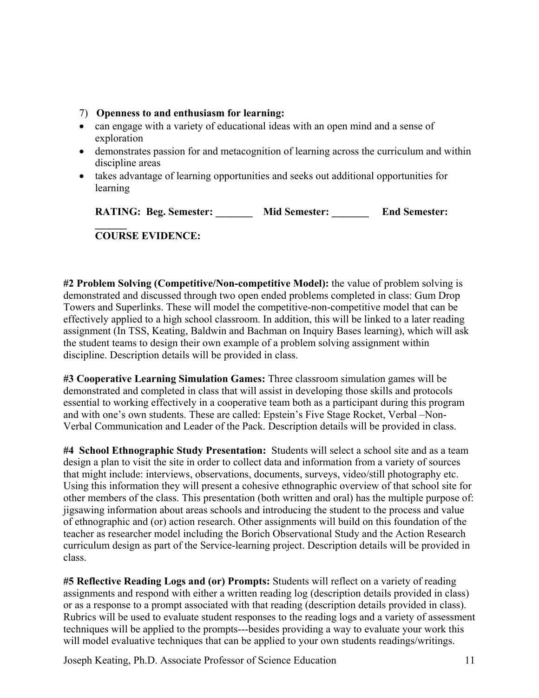## 7) **Openness to and enthusiasm for learning:**

- can engage with a variety of educational ideas with an open mind and a sense of exploration
- demonstrates passion for and metacognition of learning across the curriculum and within discipline areas
- takes advantage of learning opportunities and seeks out additional opportunities for learning

| <b>RATING: Beg. Semester:</b> | <b>Mid Semester:</b> | <b>End Semester:</b> |
|-------------------------------|----------------------|----------------------|
|-------------------------------|----------------------|----------------------|

**\_\_\_\_\_\_ COURSE EVIDENCE:**

**#2 Problem Solving (Competitive/Non-competitive Model):** the value of problem solving is demonstrated and discussed through two open ended problems completed in class: Gum Drop Towers and Superlinks. These will model the competitive-non-competitive model that can be effectively applied to a high school classroom. In addition, this will be linked to a later reading assignment (In TSS, Keating, Baldwin and Bachman on Inquiry Bases learning), which will ask the student teams to design their own example of a problem solving assignment within discipline. Description details will be provided in class.

**#3 Cooperative Learning Simulation Games:** Three classroom simulation games will be demonstrated and completed in class that will assist in developing those skills and protocols essential to working effectively in a cooperative team both as a participant during this program and with one's own students. These are called: Epstein's Five Stage Rocket, Verbal –Non-Verbal Communication and Leader of the Pack. Description details will be provided in class.

**#4 School Ethnographic Study Presentation:** Students will select a school site and as a team design a plan to visit the site in order to collect data and information from a variety of sources that might include: interviews, observations, documents, surveys, video/still photography etc. Using this information they will present a cohesive ethnographic overview of that school site for other members of the class. This presentation (both written and oral) has the multiple purpose of: jigsawing information about areas schools and introducing the student to the process and value of ethnographic and (or) action research. Other assignments will build on this foundation of the teacher as researcher model including the Borich Observational Study and the Action Research curriculum design as part of the Service-learning project. Description details will be provided in class.

**#5 Reflective Reading Logs and (or) Prompts:** Students will reflect on a variety of reading assignments and respond with either a written reading log (description details provided in class) or as a response to a prompt associated with that reading (description details provided in class). Rubrics will be used to evaluate student responses to the reading logs and a variety of assessment techniques will be applied to the prompts---besides providing a way to evaluate your work this will model evaluative techniques that can be applied to your own students readings/writings.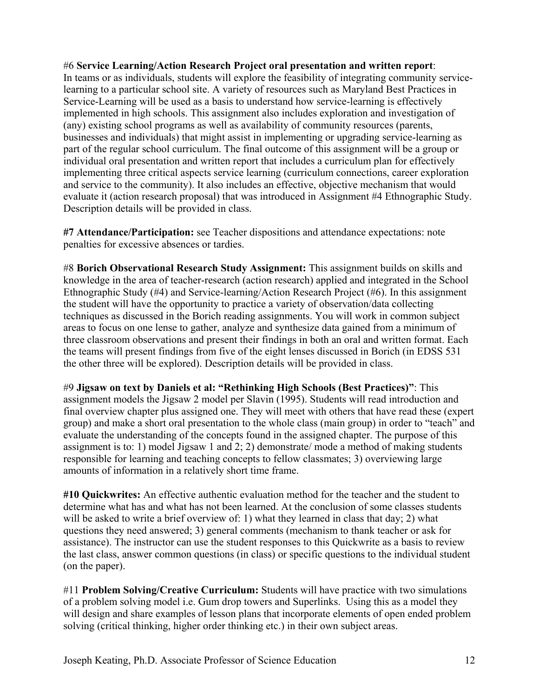## #6 **Service Learning/Action Research Project oral presentation and written report**:

In teams or as individuals, students will explore the feasibility of integrating community servicelearning to a particular school site. A variety of resources such as Maryland Best Practices in Service-Learning will be used as a basis to understand how service-learning is effectively implemented in high schools. This assignment also includes exploration and investigation of (any) existing school programs as well as availability of community resources (parents, businesses and individuals) that might assist in implementing or upgrading service-learning as part of the regular school curriculum. The final outcome of this assignment will be a group or individual oral presentation and written report that includes a curriculum plan for effectively implementing three critical aspects service learning (curriculum connections, career exploration and service to the community). It also includes an effective, objective mechanism that would evaluate it (action research proposal) that was introduced in Assignment #4 Ethnographic Study. Description details will be provided in class.

**#7 Attendance/Participation:** see Teacher dispositions and attendance expectations: note penalties for excessive absences or tardies.

#8 **Borich Observational Research Study Assignment:** This assignment builds on skills and knowledge in the area of teacher-research (action research) applied and integrated in the School Ethnographic Study (#4) and Service-learning/Action Research Project (#6). In this assignment the student will have the opportunity to practice a variety of observation/data collecting techniques as discussed in the Borich reading assignments. You will work in common subject areas to focus on one lense to gather, analyze and synthesize data gained from a minimum of three classroom observations and present their findings in both an oral and written format. Each the teams will present findings from five of the eight lenses discussed in Borich (in EDSS 531 the other three will be explored). Description details will be provided in class.

#9 **Jigsaw on text by Daniels et al: "Rethinking High Schools (Best Practices)"**: This assignment models the Jigsaw 2 model per Slavin (1995). Students will read introduction and final overview chapter plus assigned one. They will meet with others that have read these (expert group) and make a short oral presentation to the whole class (main group) in order to "teach" and evaluate the understanding of the concepts found in the assigned chapter. The purpose of this assignment is to: 1) model Jigsaw 1 and 2; 2) demonstrate/ mode a method of making students responsible for learning and teaching concepts to fellow classmates; 3) overviewing large amounts of information in a relatively short time frame.

**#10 Quickwrites:** An effective authentic evaluation method for the teacher and the student to determine what has and what has not been learned. At the conclusion of some classes students will be asked to write a brief overview of: 1) what they learned in class that day; 2) what questions they need answered; 3) general comments (mechanism to thank teacher or ask for assistance). The instructor can use the student responses to this Quickwrite as a basis to review the last class, answer common questions (in class) or specific questions to the individual student (on the paper).

#11 **Problem Solving/Creative Curriculum:** Students will have practice with two simulations of a problem solving model i.e. Gum drop towers and Superlinks. Using this as a model they will design and share examples of lesson plans that incorporate elements of open ended problem solving (critical thinking, higher order thinking etc.) in their own subject areas.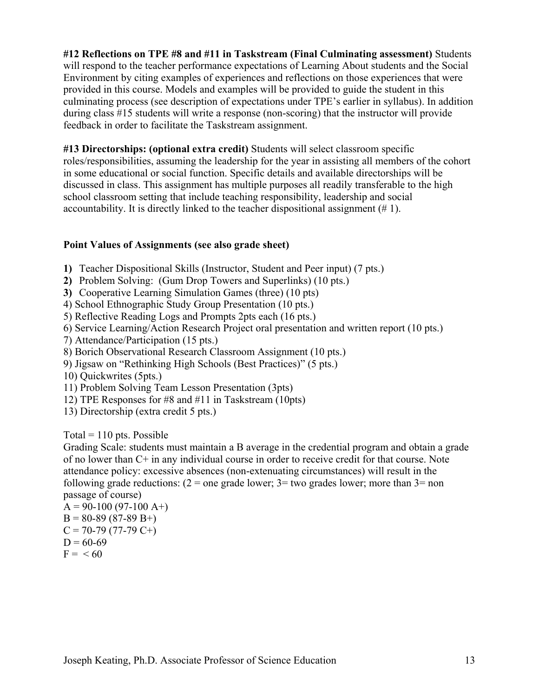**#12 Reflections on TPE #8 and #11 in Taskstream (Final Culminating assessment)** Students will respond to the teacher performance expectations of Learning About students and the Social Environment by citing examples of experiences and reflections on those experiences that were provided in this course. Models and examples will be provided to guide the student in this culminating process (see description of expectations under TPE's earlier in syllabus). In addition during class #15 students will write a response (non-scoring) that the instructor will provide feedback in order to facilitate the Taskstream assignment.

**#13 Directorships: (optional extra credit)** Students will select classroom specific roles/responsibilities, assuming the leadership for the year in assisting all members of the cohort in some educational or social function. Specific details and available directorships will be discussed in class. This assignment has multiple purposes all readily transferable to the high school classroom setting that include teaching responsibility, leadership and social accountability. It is directly linked to the teacher dispositional assignment (# 1).

## **Point Values of Assignments (see also grade sheet)**

**1)** Teacher Dispositional Skills (Instructor, Student and Peer input) (7 pts.)

- **2)** Problem Solving: (Gum Drop Towers and Superlinks) (10 pts.)
- **3)** Cooperative Learning Simulation Games (three) (10 pts)

4) School Ethnographic Study Group Presentation (10 pts.)

5) Reflective Reading Logs and Prompts 2pts each (16 pts.)

6) Service Learning/Action Research Project oral presentation and written report (10 pts.)

7) Attendance/Participation (15 pts.)

8) Borich Observational Research Classroom Assignment (10 pts.)

9) Jigsaw on "Rethinking High Schools (Best Practices)" (5 pts.)

10) Quickwrites (5pts.)

11) Problem Solving Team Lesson Presentation (3pts)

12) TPE Responses for #8 and #11 in Taskstream (10pts)

13) Directorship (extra credit 5 pts.)

Total =  $110$  pts. Possible

Grading Scale: students must maintain a B average in the credential program and obtain a grade of no lower than C+ in any individual course in order to receive credit for that course. Note attendance policy: excessive absences (non-extenuating circumstances) will result in the following grade reductions:  $(2 =$  one grade lower;  $3 =$  two grades lower; more than  $3 =$  non passage of course)

 $A = 90-100 (97-100 A+)$  $B = 80-89(87-89 B+$  $C = 70-79(77-79 C+$  $D = 60-69$  $F = < 60$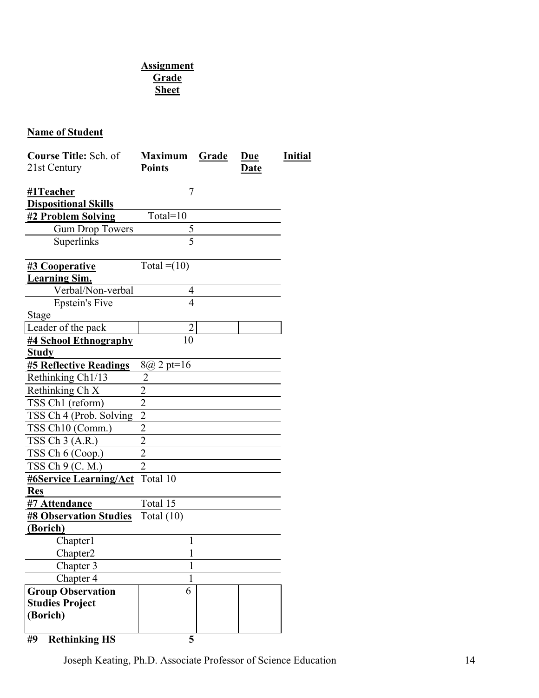# **Assignment Grade Sheet**

# **Name of Student**

| <b>Course Title: Sch. of</b><br>21st Century | <b>Maximum</b><br><b>Points</b> | <b>Grade</b> | <u>Due</u><br>Date | <b>Initial</b> |
|----------------------------------------------|---------------------------------|--------------|--------------------|----------------|
| #1Teacher<br><b>Dispositional Skills</b>     | 7                               |              |                    |                |
| #2 Problem Solving                           | Total= $10$                     |              |                    |                |
| <b>Gum Drop Towers</b>                       | 5                               |              |                    |                |
| Superlinks                                   | $\overline{5}$                  |              |                    |                |
| <b>#3 Cooperative</b>                        | Total = $(10)$                  |              |                    |                |
| <b>Learning Sim.</b>                         |                                 |              |                    |                |
| Verbal/Non-verbal                            | 4                               |              |                    |                |
| <b>Epstein's Five</b>                        | 4                               |              |                    |                |
| Stage                                        |                                 |              |                    |                |
| Leader of the pack                           | 2                               |              |                    |                |
| #4 School Ethnography                        | 10                              |              |                    |                |
| <b>Study</b>                                 |                                 |              |                    |                |
| #5 Reflective Readings                       | $8(a)$ 2 pt=16                  |              |                    |                |
| Rethinking Ch1/13                            | $\overline{2}$                  |              |                    |                |
| Rethinking Ch X                              | $\overline{2}$                  |              |                    |                |
| TSS Ch1 (reform)                             | $\overline{c}$                  |              |                    |                |
| TSS Ch 4 (Prob. Solving                      | $\overline{2}$                  |              |                    |                |
| TSS Ch <sub>10</sub> (Comm.)                 | $\overline{2}$                  |              |                    |                |
| TSS Ch $3(A.R.)$                             | $\overline{c}$                  |              |                    |                |
| TSS Ch 6 (Coop.)                             | $\overline{2}$                  |              |                    |                |
| TSS Ch 9 (C. M.)                             | $\overline{2}$                  |              |                    |                |
| #6Service Learning/Act                       | Total 10                        |              |                    |                |
| <b>Res</b>                                   |                                 |              |                    |                |
| #7 Attendance                                | Total 15                        |              |                    |                |
| <b>#8 Observation Studies</b>                | Total $(10)$                    |              |                    |                |
| (Borich)                                     |                                 |              |                    |                |
| Chapter1                                     | 1                               |              |                    |                |
| Chapter <sub>2</sub>                         | 1                               |              |                    |                |
| Chapter 3                                    | 1                               |              |                    |                |
| Chapter 4                                    | 1                               |              |                    |                |
| <b>Group Observation</b>                     | 6                               |              |                    |                |
| <b>Studies Project</b>                       |                                 |              |                    |                |
| (Borich)                                     |                                 |              |                    |                |
| Dathinking HC<br>40                          |                                 |              |                    |                |

**#9 Rethinking HS 5**